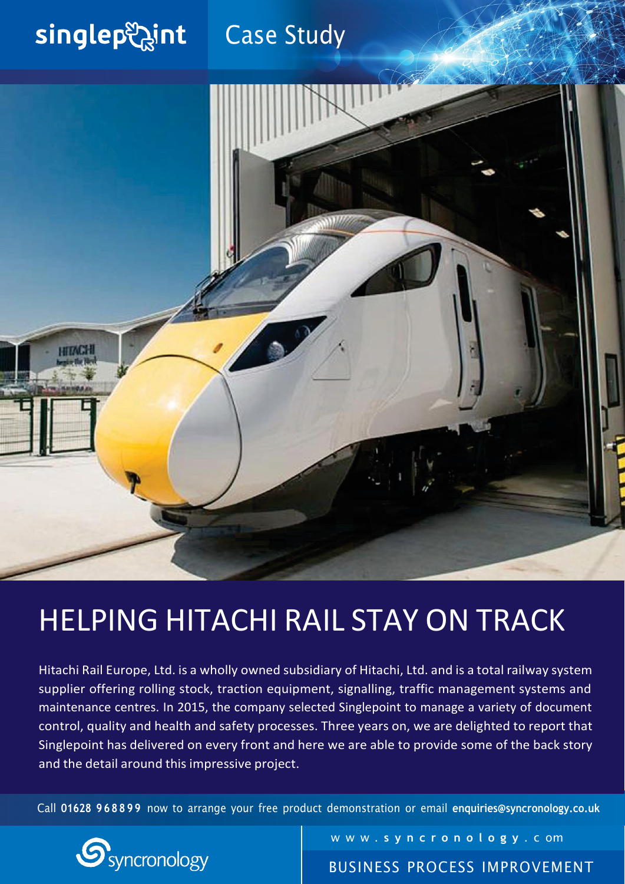#### singlep aint Case Study



# HELPING HITACHI RAIL STAY ON TRACK

Hitachi Rail Europe, Ltd. is a wholly owned subsidiary of Hitachi, Ltd. and is a total railway system supplier offering rolling stock, traction equipment, signalling, traffic management systems and maintenance centres. In 2015, the company selected Singlepoint to manage a variety of document control, quality and health and safety processes. Three years on, we are delighted to report that Singlepoint has delivered on every front and here we are able to provide some of the back story and the detail around this impressive project.

Call **01628 968899** now to arrange your free product demonstration or email **[enquiries@syncronology.co.uk](mailto:enquiries@syncronology.co.uk)**



w w w . **s y n c r o n o l o g y** . c om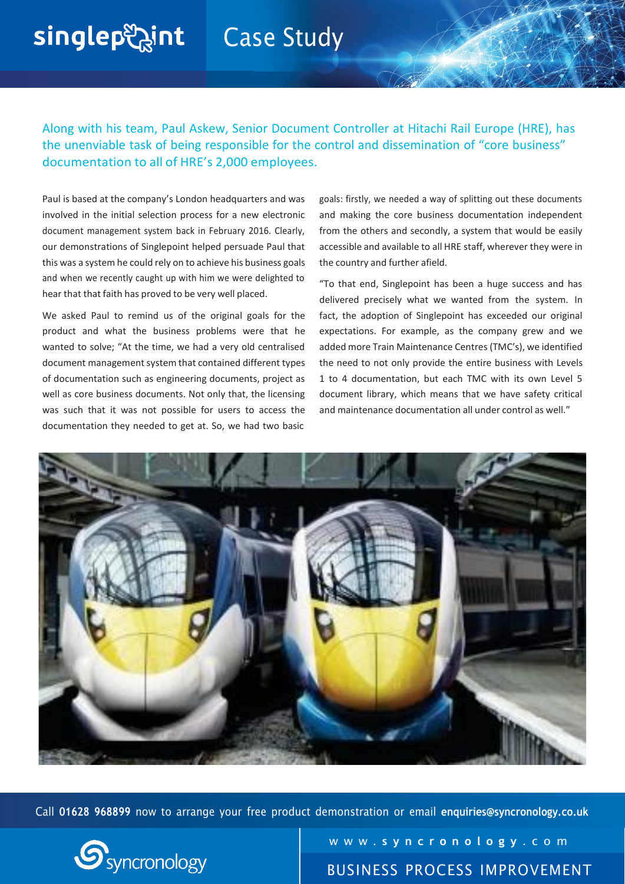### **Case Study**

Along with his team, Paul Askew, Senior Document Controller at Hitachi Rail Europe (HRE), has the unenviable task of being responsible for the control and dissemination of "core business" documentation to all of HRE's 2,000 employees.

Paul is based at the company's London headquarters and was involved in the initial selection process for a new electronic document management system back in February 2016. Clearly, our demonstrations of Singlepoint helped persuade Paul that this was a system he could rely on to achieve his business goals and when we recently caught up with him we were delighted to hear that that faith has proved to be very well placed.

singlep aint

We asked Paul to remind us of the original goals for the product and what the business problems were that he wanted to solve; "At the time, we had a very old centralised document management system that contained different types of documentation such as engineering documents, project as well as core business documents. Not only that, the licensing was such that it was not possible for users to access the documentation they needed to get at. So, we had two basic

goals: firstly, we needed a way of splitting out these documents and making the core business documentation independent from the others and secondly, a system that would be easily accessible and available to all HRE staff, wherever they were in the country and further afield.

"To that end, Singlepoint has been a huge success and has delivered precisely what we wanted from the system. In fact, the adoption of Singlepoint has exceeded our original expectations. For example, as the company grew and we added more Train Maintenance Centres (TMC's), we identified the need to not only provide the entire business with Levels 1 to 4 documentation, but each TMC with its own Level 5 document library, which means that we have safety critical and maintenance documentation all under control as well."



Call **01628 968899** now to arrange your free product demonstration or email **[enquiries@syncronology.co.uk](mailto:enquiries@syncronology.co.uk)**



w w w . **s y n c r o n o l o g y** . c o m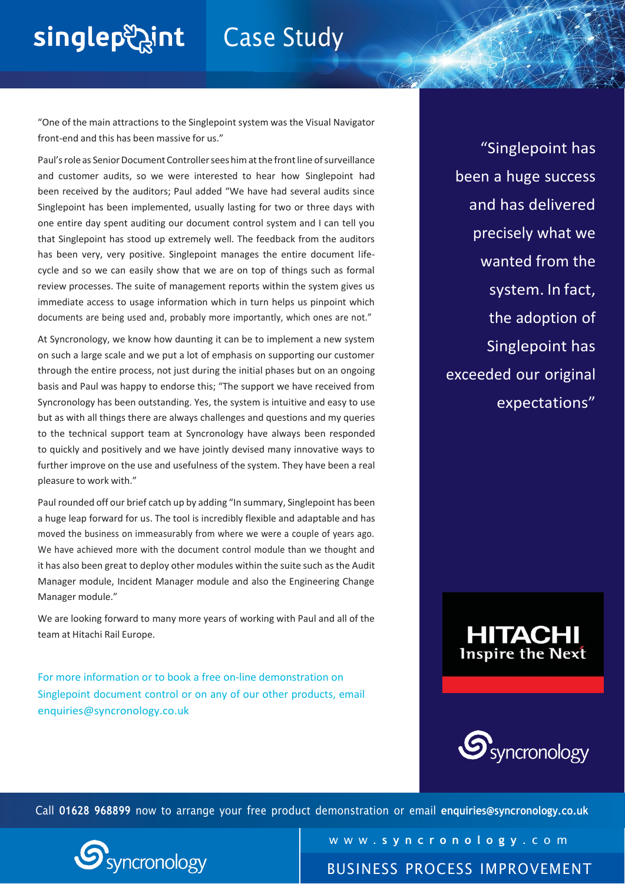# singlep aint

### Case Study

"One of the main attractions to the Singlepoint system was the Visual Navigator front-end and this has been massive for us."

Paul's role as Senior Document Controller sees him at the front line of surveillance and customer audits, so we were interested to hear how Singlepoint had been received by the auditors; Paul added "We have had several audits since Singlepoint has been implemented, usually lasting for two or three days with one entire day spent auditing our document control system and I can tell you that Singlepoint has stood up extremely well. The feedback from the auditors has been very, very positive. Singlepoint manages the entire document lifecycle and so we can easily show that we are on top of things such as formal review processes. The suite of management reports within the system gives us immediate access to usage information which in turn helps us pinpoint which documents are being used and, probably more importantly, which ones are not."

At Syncronology, we know how daunting it can be to implement a new system on such a large scale and we put a lot of emphasis on supporting our customer through the entire process, not just during the initial phases but on an ongoing basis and Paul was happy to endorse this; "The support we have received from Syncronology has been outstanding. Yes, the system is intuitive and easy to use but as with all things there are always challenges and questions and my queries to the technical support team at Syncronology have always been responded to quickly and positively and we have jointly devised many innovative ways to further improve on the use and usefulness of the system. They have been a real pleasure to work with."

Paul rounded off our brief catch up by adding "In summary, Singlepoint has been a huge leap forward for us. The tool is incredibly flexible and adaptable and has moved the business on immeasurably from where we were a couple of years ago. We have achieved more with the document control module than we thought and it has also been great to deploy other modules within the suite such asthe Audit Manager module, Incident Manager module and also the Engineering Change Manager module."

We are looking forward to many more years of working with Paul and all of the team at Hitachi Rail Europe.

For more information or to book a free on-line demonstration on Singlepoint document control or on any of our other products, email [enquiries@syncronology.co.uk](mailto:enquiries@syncronology.co.uk)

"Singlepoint has been a huge success and has delivered precisely what we wanted from the system. In fact, the adoption of Singlepoint has exceeded our original expectations"





Call **01628 968899** now to arrange your free product demonstration or email **[enquiries@syncronology.co.uk](mailto:enquiries@syncronology.co.uk)**



w w w . **s y n c r o n o l o g y** . c o m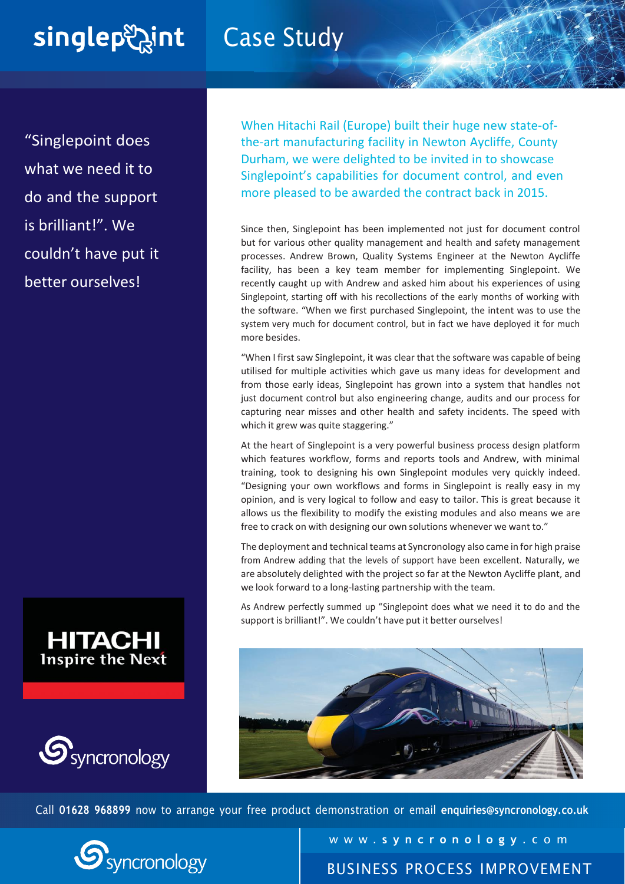# singlep aint

### Case Study

"Singlepoint does what we need it to do and the support is brilliant!". We couldn't have put it better ourselves!





When Hitachi Rail (Europe) built their huge new state-ofthe-art manufacturing facility in Newton Aycliffe, County Durham, we were delighted to be invited in to showcase Singlepoint's capabilities for document control, and even more pleased to be awarded the contract back in 2015.

Since then, Singlepoint has been implemented not just for document control but for various other quality management and health and safety management processes. Andrew Brown, Quality Systems Engineer at the Newton Aycliffe facility, has been a key team member for implementing Singlepoint. We recently caught up with Andrew and asked him about his experiences of using Singlepoint, starting off with his recollections of the early months of working with the software. "When we first purchased Singlepoint, the intent was to use the system very much for document control, but in fact we have deployed it for much more besides.

"When I first saw Singlepoint, it was clear that the software was capable of being utilised for multiple activities which gave us many ideas for development and from those early ideas, Singlepoint has grown into a system that handles not just document control but also engineering change, audits and our process for capturing near misses and other health and safety incidents. The speed with which it grew was quite staggering."

At the heart of Singlepoint is a very powerful business process design platform which features workflow, forms and reports tools and Andrew, with minimal training, took to designing his own Singlepoint modules very quickly indeed. "Designing your own workflows and forms in Singlepoint is really easy in my opinion, and is very logical to follow and easy to tailor. This is great because it allows us the flexibility to modify the existing modules and also means we are free to crack on with designing our own solutions whenever we want to."

The deployment and technical teams at Syncronology also came in for high praise from Andrew adding that the levels of support have been excellent. Naturally, we are absolutely delighted with the project so far at the Newton Aycliffe plant, and we look forward to a long-lasting partnership with the team.

As Andrew perfectly summed up "Singlepoint does what we need it to do and the support is brilliant!". We couldn't have put it better ourselves!



Call **01628 968899** now to arrange your free product demonstration or email **[enquiries@syncronology.co.uk](mailto:enquiries@syncronology.co.uk)**



w w w . **s y n c r o n o l o g y** . c o m BUSINESS PROCESS IMPROVEMENT